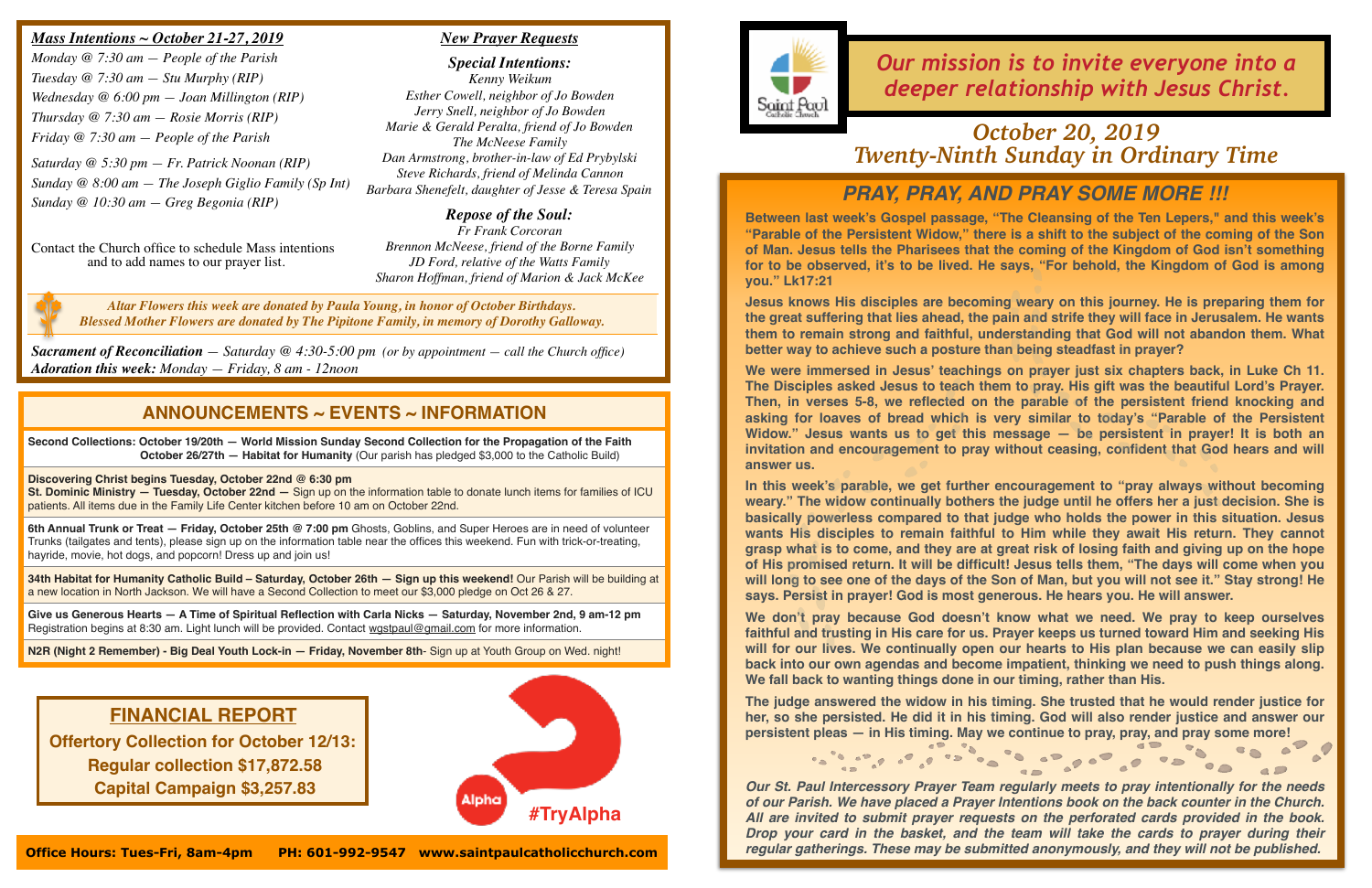## *PRAY, PRAY, AND PRAY SOME MORE !!!*

**Between last week's Gospel passage, "The Cleansing of the Ten Lepers," and this week's "Parable of the Persistent Widow," there is a shift to the subject of the coming of the Son of Man. Jesus tells the Pharisees that the coming of the Kingdom of God isn't something for to be observed, it's to be lived. He says, "For behold, the Kingdom of God is among you." Lk17:21**

**Jesus knows His disciples are becoming weary on this journey. He is preparing them for the great suffering that lies ahead, the pain and strife they will face in Jerusalem. He wants them to remain strong and faithful, understanding that God will not abandon them. What better way to achieve such a posture than being steadfast in prayer?** 

**We were immersed in Jesus' teachings on prayer just six chapters back, in Luke Ch 11. The Disciples asked Jesus to teach them to pray. His gift was the beautiful Lord's Prayer. Then, in verses 5-8, we reflected on the parable of the persistent friend knocking and asking for loaves of bread which is very similar to today's "Parable of the Persistent Widow." Jesus wants us to get this message — be persistent in prayer! It is both an invitation and encouragement to pray without ceasing, confident that God hears and will answer us.**

**The judge answered the widow in his timing. She trusted that he would render justice for her, so she persisted. He did it in his timing. God will also render justice and answer our persistent pleas — in His timing. May we continue to pray, pray, and pray some more!** 

**Second Collections: October 19/20th — World Mission Sunday Second Collection for the Propagation of the Faith October 26/27th — Habitat for Humanity** (Our parish has pledged \$3,000 to the Catholic Build)

> **In this week's parable, we get further encouragement to "pray always without becoming weary." The widow continually bothers the judge until he offers her a just decision. She is basically powerless compared to that judge who holds the power in this situation. Jesus wants His disciples to remain faithful to Him while they await His return. They cannot grasp what is to come, and they are at great risk of losing faith and giving up on the hope of His promised return. It will be difficult! Jesus tells them, "The days will come when you will long to see one of the days of the Son of Man, but you will not see it." Stay strong! He says. Persist in prayer! God is most generous. He hears you. He will answer.**

**Give us Generous Hearts — A Time of Spiritual Reflection with Carla Nicks — Saturday, November 2nd, 9 am-12 pm** Registration begins at 8:30 am. Light lunch will be provided. Contact [wgstpaul@gmail.com](mailto:wgstpaul@gmail.com) for more information.

**We don't pray because God doesn't know what we need. We pray to keep ourselves faithful and trusting in His care for us. Prayer keeps us turned toward Him and seeking His will for our lives. We continually open our hearts to His plan because we can easily slip back into our own agendas and become impatient, thinking we need to push things along. We fall back to wanting things done in our timing, rather than His.**

#### *https://youtu.be/xiapS5ehQ5s Mass Intentions ~ October 21-27, 2019*

*Our St. Paul Intercessory Prayer Team regularly meets to pray intentionally for the needs of our Parish. We have placed a Prayer Intentions book on the back counter in the Church. All are invited to submit prayer requests on the perforated cards provided in the book. Drop your card in the basket, and the team will take the cards to prayer during their regular gatherings. These may be submitted anonymously, and they will not be published.*

## **ANNOUNCEMENTS ~ EVENTS ~ INFORMATION**

### **Discovering Christ begins Tuesday, October 22nd @ 6:30 pm**

**St. Dominic Ministry — Tuesday, October 22nd —** Sign up on the information table to donate lunch items for families of ICU patients. All items due in the Family Life Center kitchen before 10 am on October 22nd.

**6th Annual Trunk or Treat — Friday, October 25th @ 7:00 pm** Ghosts, Goblins, and Super Heroes are in need of volunteer Trunks (tailgates and tents), please sign up on the information table near the offices this weekend. Fun with trick-or-treating, hayride, movie, hot dogs, and popcorn! Dress up and join us!

**34th Habitat for Humanity Catholic Build – Saturday, October 26th — Sign up this weekend!** Our Parish will be building at a new location in North Jackson. We will have a Second Collection to meet our \$3,000 pledge on Oct 26 & 27.

**N2R (Night 2 Remember) - Big Deal Youth Lock-in — Friday, November 8th**- Sign up at Youth Group on Wed. night!

*Our mission is to invite everyone into a deeper relationship with Jesus Christ.*

*Monday @ 7:30 am — People of the Parish Tuesday @ 7:30 am — Stu Murphy (RIP) Wednesday @ 6:00 pm — Joan Millington (RIP) Thursday @ 7:30 am — Rosie Morris (RIP) Friday @ 7:30 am — People of the Parish*

*Saturday @ 5:30 pm — Fr. Patrick Noonan (RIP) Sunday @ 8:00 am — The Joseph Giglio Family (Sp Int) Sunday @ 10:30 am — Greg Begonia (RIP)*

Contact the Church office to schedule Mass intentions and to add names to our prayer list.

*Sacrament of Reconciliation — Saturday @ 4:30-5:00 pm (or by appointment — call the Church office) Adoration this week: Monday — Friday, 8 am - 12noon*

### *New Prayer Requests*

*Special Intentions: Kenny Weikum Esther Cowell, neighbor of Jo Bowden Jerry Snell, neighbor of Jo Bowden Marie & Gerald Peralta, friend of Jo Bowden The McNeese Family Dan Armstrong, brother-in-law of Ed Prybylski Steve Richards, friend of Melinda Cannon Barbara Shenefelt, daughter of Jesse & Teresa Spain*

*Repose of the Soul: Fr Frank Corcoran Brennon McNeese, friend of the Borne Family JD Ford, relative of the Watts Family Sharon Hoffman, friend of Marion & Jack McKee*

## *October 20, 2019 Twenty-Ninth Sunday in Ordinary Time*





*Altar Flowers this week are donated by Paula Young, in honor of October Birthdays. Blessed Mother Flowers are donated by The Pipitone Family, in memory of Dorothy Galloway.*